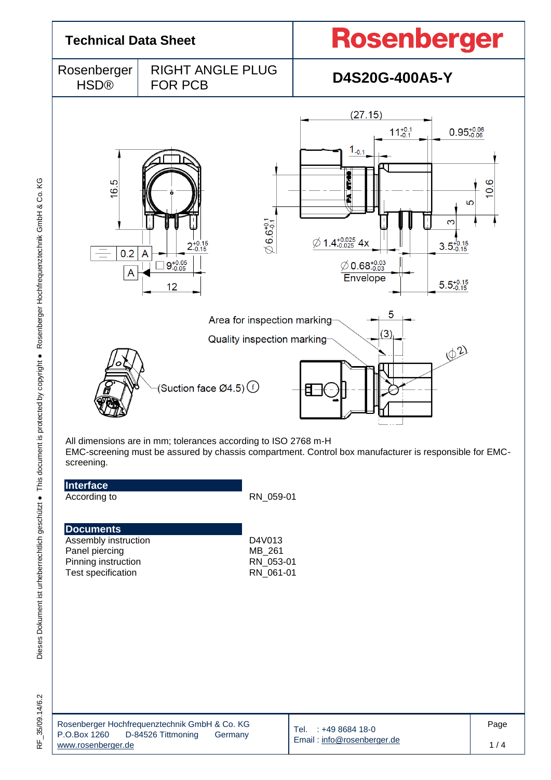

RF\_35/09.14/6.2

|                    | Rosenberger Hochfrequenztechnik GmbH & Co. KG |         |
|--------------------|-----------------------------------------------|---------|
| P.O.Box 1260       | D-84526 Tittmoning                            | Germany |
| www.rosenberger.de |                                               |         |

Tel. : +49 8684 18-0 Email [: info@rosenberger.de](mailto:info@rosenberger.de) Page 1 / 4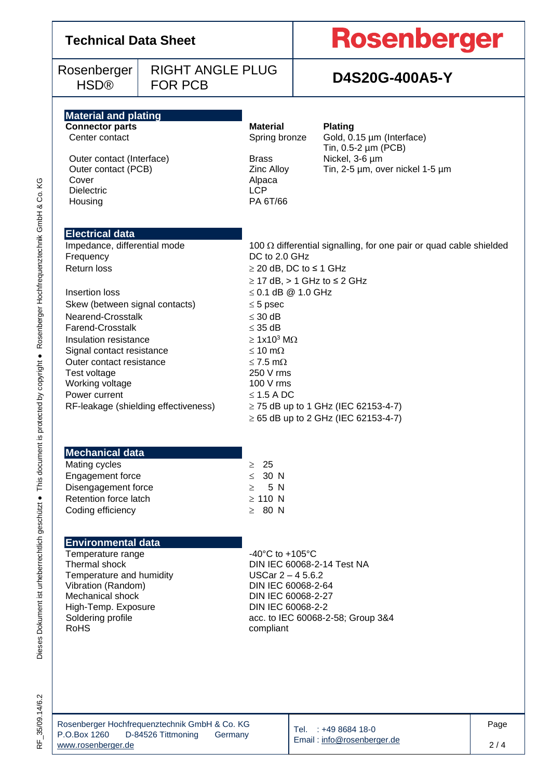# **Technical Data Sheet**

Rosenberger HSD®

# **Rosenberger**

# FOR PCB **D4S20G-400A5-Y**

## **Material and plating**

Outer contact (Interface) Brass Nickel, 3-6 µm Cover Alpaca<br>
Dielectric LCP<br>
CP Dielectric LCP<br>
Housing PA 6T/66 Housing

**Connector parts**<br> **Center contact**<br> **Center contact**<br> **Center contact**<br> **Center contact**<br> **Center contact**<br> **Center contact**<br> **Center Cold. 0.** 

RIGHT ANGLE PLUG

Spring bronze Gold,  $0.15 \mu m$  (Interface) Tin, 0.5-2 µm (PCB) Outer contact (PCB)  $\overline{C}$  Zinc Alloy Tin, 2-5 µm, over nickel 1-5 µm

### **Electrical data**

Impedance, differential mode  $100 \Omega$  differential signalling, for one pair or quad cable shielded Frequency DC to 2.0 GHz Return loss  $\geq 20$  dB, DC to  $\leq 1$  GHz

Insertion loss  $< 0.1$  dB  $@ 1.0$  GHz Skew (between signal contacts)  $\leq$  5 psec Nearend-Crosstalk  $\leq$  30 dB Farend-Crosstalk 35 dB Insulation resistance  $\geq 1x10^3 M\Omega$ Signal contact resistance  $\leq 10 \text{ m}\Omega$ Outer contact resistance  $\leq 7.5$  m $\Omega$ Test voltage 250 V rms Working voltage 100 V rms Power current  $\leq 1.5$  A DC

 $\geq$  17 dB,  $>$  1 GHz to  $\leq$  2 GHz RF-leakage (shielding effectiveness)  $\geq$  75 dB up to 1 GHz (IEC 62153-4-7)  $\geq 65$  dB up to 2 GHz (IEC 62153-4-7)

### **Mechanical data**

Mating cycles  $\geq 25$ Engagement force  $\leq 30 \text{ N}$ Disengagement force  $\geq$  5 N Retention force latch  $\geq 110 \text{ N}$ Coding efficiency  $\geq 80 \text{ N}$ 

### **Environmental data**

Temperature range  $-40^{\circ}$ C to  $+105^{\circ}$ C Temperature and humidity <br>
Vibration (Random) **USCar 2-45.6.2**<br>
DIN IEC 60068-2-64 Vibration (Random)<br>Mechanical shock High-Temp. Exposure<br>
Soldering profile<br>
Soldering profile<br>  $\begin{array}{r} \text{DIN IEC 60068-2-2} \\ \text{ACC. to IEC 60068-2} \end{array}$ RoHS compliant

Thermal shock DIN IEC 60068-2-14 Test NA DIN IEC 60068-2-27 acc. to IEC 60068-2-58; Group 3&4

ΚG

|                    | Rosenberger Hochfrequenztechnik GmbH & Co. KG |         |
|--------------------|-----------------------------------------------|---------|
| P.O.Box 1260       | D-84526 Tittmoning                            | Germany |
| www.rosenberger.de |                                               |         |

Tel. : +49 8684 18-0 Email [: info@rosenberger.de](mailto:info@rosenberger.de)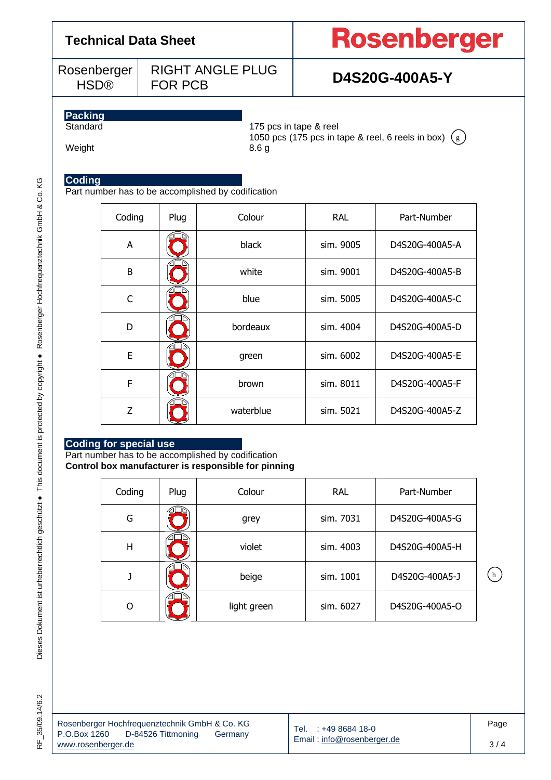# **Technical Data Sheet**

Rosenberger HSD®

RIGHT ANGLE PLUG FOR PCB **D4S20G-400A5-Y**

# Rosenberger

# **Packing**

175 pcs in tape & reel 1050 pcs (175 pcs in tape & reel, 6 reels in box)  $(g)$ 

## Weight 8.6 g

### **Coding**

Part number has to be accomplished by codification

| Coding         | Plug | Colour    | <b>RAL</b> | Part-Number    |  |
|----------------|------|-----------|------------|----------------|--|
| A              |      | black     | sim. 9005  | D4S20G-400A5-A |  |
| B              |      | white     | sim. 9001  | D4S20G-400A5-B |  |
| C              |      | blue      | sim. 5005  | D4S20G-400A5-C |  |
| D              |      | bordeaux  | sim. 4004  | D4S20G-400A5-D |  |
| E              |      | green     | sim. 6002  | D4S20G-400A5-E |  |
| F              |      | brown     | sim. 8011  | D4S20G-400A5-F |  |
| $\overline{z}$ |      | waterblue | sim. 5021  | D4S20G-400A5-Z |  |

### **Coding for special use**

Part number has to be accomplished by codification **Control box manufacturer is responsible for pinning**

| Coding | Plug   | Colour      | <b>RAL</b> | Part-Number    |  |
|--------|--------|-------------|------------|----------------|--|
| G      |        | grey        | sim. 7031  | D4S20G-400A5-G |  |
| H      | violet |             | sim. 4003  | D4S20G-400A5-H |  |
|        | beige  |             | sim. 1001  | D4S20G-400A5-J |  |
| O      |        | light green | sim. 6027  | D4S20G-400A5-O |  |

| Rosenberger Hochfrequenztechnik GmbH & Co. KG |                    |         |
|-----------------------------------------------|--------------------|---------|
| P.O.Box 1260                                  | D-84526 Tittmoning | Germany |
| www.rosenberger.de                            |                    |         |

Tel. : +49 8684 18-0 Email [: info@rosenberger.de](mailto:info@rosenberger.de)  $(h)$